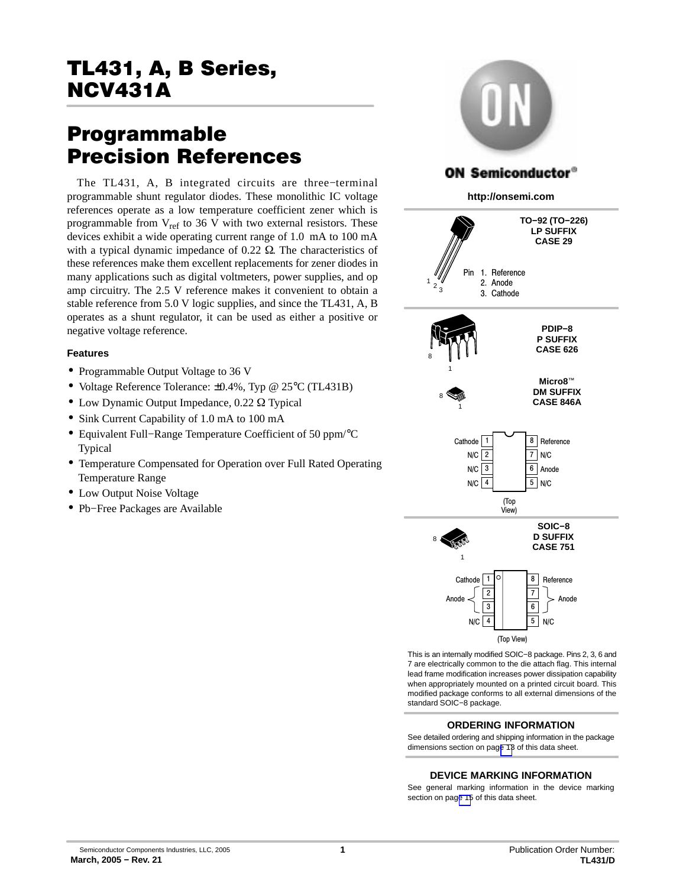# TL431, A, B Series,  $\frac{1}{\sqrt{1-\frac{1}{2}}\cdot\frac{1}{\sqrt{1-\frac{1}{2}}\cdot\frac{1}{\sqrt{1-\frac{1}{2}}\cdot\frac{1}{\sqrt{1-\frac{1}{2}}\cdot\frac{1}{\sqrt{1-\frac{1}{2}}\cdot\frac{1}{\sqrt{1-\frac{1}{2}}\cdot\frac{1}{\sqrt{1-\frac{1}{2}}\cdot\frac{1}{\sqrt{1-\frac{1}{2}}\cdot\frac{1}{\sqrt{1-\frac{1}{2}}\cdot\frac{1}{\sqrt{1-\frac{1}{2}}\cdot\frac{1}{\sqrt{1-\frac{1}{2}}\cdot\frac{1}{\sqrt{1-\frac{1}{2}}\cdot\frac{1$

# **Programmable<br>Precision References**

The TL431, A, B integrated circuits are three–terminal programmable shunt regulator diodes. These monolithic IC voltage references operate as a low temperature coefficient zener which is programmable from  $V_{ref}$  to 36 V with two external resistors. These devices exhibit a wide operating current range of 1.0 mA to 100 mA with a typical dynamic impedance of  $0.22 \Omega$ . The characteristics of these references make them excellent replacements for zener diodes in many applications such as digital voltmeters, power supplies, and op amp circuitry. The 2.5 V reference makes it convenient to obtain a stable reference from 5.0 V logic supplies, and since the TL431, A, B operates as a shunt regulator, it can be used as either a positive or negative voltage reference.

#### **Features**

- Programmable Output Voltage to 36 V
- Voltage Reference Tolerance: ±0.4%, Typ @ 25°C (TL431B)
- $\bullet$  Low Dynamic Output Impedance, 0.22  $\Omega$  Typical
- Sink Current Capability of 1.0 mA to 100 mA
- Equivalent Full−Range Temperature Coefficient of 50 ppm/°C Typical
- Temperature Compensated for Operation over Full Rated Operating Temperature Range
- Low Output Noise Voltage
- Pb–Free Packages are Available



This is an internally modified SOIC−8 package. Pins 2, 3, 6 and 7 are electrically common to the die attach flag. This internal lead frame modification increases power dissipation capability when appropriately mounted on a printed circuit board. This modified package conforms to all external dimensions of the standard SOIC−8 package.

#### **ORDERING INFORMATION**

See detailed ordering and shipping information in the package dimensions section on pag[e 13](#page-12-0) of this data sheet.

#### **DEVICE MARKING INFORMATION**

See general marking information in the device marking section on pag[e 15](#page-14-0) of this data sheet.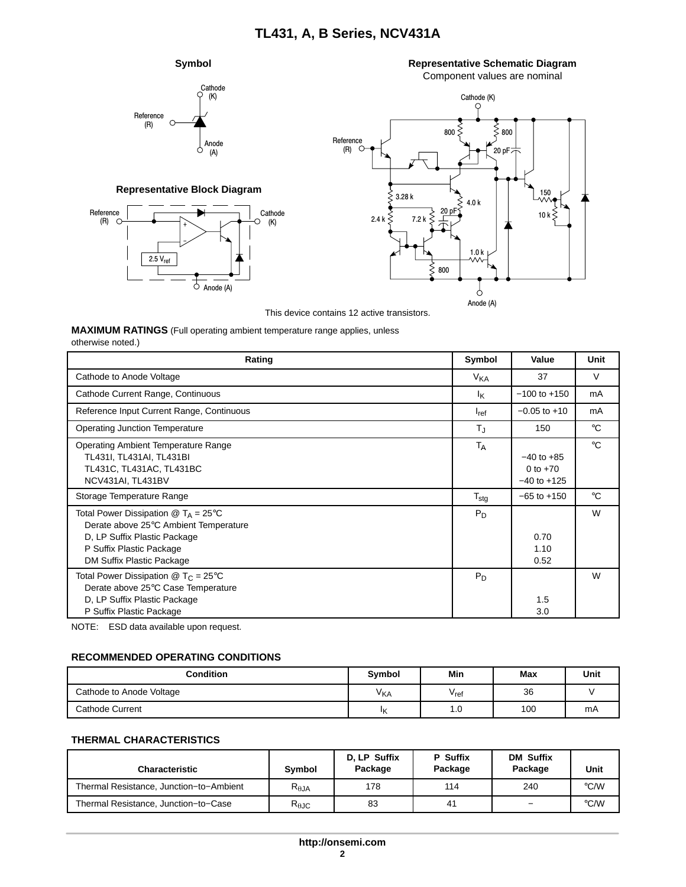#### **Symbol**



**Representative Block Diagram**

− +

 $2.5 V_{ref}$ 

**Representative Schematic Diagram**

Component values are nominal



This device contains 12 active transistors.

**MAXIMUM RATINGS** (Full operating ambient temperature range applies, unless

Anode (A)

Ò

Cathode (K)

Reference (R)

| Rating                                                                                                                                                                                            | Symbol               | Value                                           | Unit         |
|---------------------------------------------------------------------------------------------------------------------------------------------------------------------------------------------------|----------------------|-------------------------------------------------|--------------|
| Cathode to Anode Voltage                                                                                                                                                                          | V <sub>KA</sub>      | 37                                              | V            |
| Cathode Current Range, Continuous                                                                                                                                                                 | Ιĸ                   | $-100$ to $+150$                                | mA           |
| Reference Input Current Range, Continuous                                                                                                                                                         | $I_{ref}$            | $-0.05$ to $+10$                                | mA           |
| <b>Operating Junction Temperature</b>                                                                                                                                                             | $T_{\rm J}$          | 150                                             | $^{\circ}C$  |
| <b>Operating Ambient Temperature Range</b><br>TL431I, TL431AI, TL431BI<br>TL431C, TL431AC, TL431BC<br>NCV431AI, TL431BV                                                                           | <b>T<sub>A</sub></b> | $-40$ to $+85$<br>0 to $+70$<br>$-40$ to $+125$ | $^{\circ}$ C |
| Storage Temperature Range                                                                                                                                                                         | $T_{\text{stg}}$     | $-65$ to $+150$                                 | $^{\circ}C$  |
| Total Power Dissipation $\textcircled{a}$ T <sub>A</sub> = 25°C<br>Derate above 25°C Ambient Temperature<br>D. LP Suffix Plastic Package<br>P Suffix Plastic Package<br>DM Suffix Plastic Package |                      | 0.70<br>1.10<br>0.52                            | W            |
| Total Power Dissipation $\circledR$ T <sub>C</sub> = 25 <sup>°</sup> C<br>Derate above 25°C Case Temperature<br>D, LP Suffix Plastic Package<br>P Suffix Plastic Package                          | $P_D$                | 1.5<br>3.0                                      | W            |

NOTE: ESD data available upon request.

#### **RECOMMENDED OPERATING CONDITIONS**

| <b>Condition</b>         | <b>Symbol</b>         | Min                         | Max | Unit |
|--------------------------|-----------------------|-----------------------------|-----|------|
| Cathode to Anode Voltage | <b>V<sub>KA</sub></b> | $\mathsf{V}_{\mathsf{ref}}$ | 36  |      |
| Cathode Current          | ١ĸ                    | 1.U                         | 100 | mA   |

#### **THERMAL CHARACTERISTICS**

| <b>Characteristic</b>                   | Symbol                            | D. LP Suffix<br>Package | P Suffix<br>Package | <b>DM Suffix</b><br>Package | Unit |
|-----------------------------------------|-----------------------------------|-------------------------|---------------------|-----------------------------|------|
| Thermal Resistance, Junction-to-Ambient | $\mathsf{R}_{\theta \mathsf{JA}}$ | 178                     | 114                 | 240                         | °C/W |
| Thermal Resistance, Junction-to-Case    | $R_{\theta \text{JC}}$            | 83                      | 41                  | -                           | °C/W |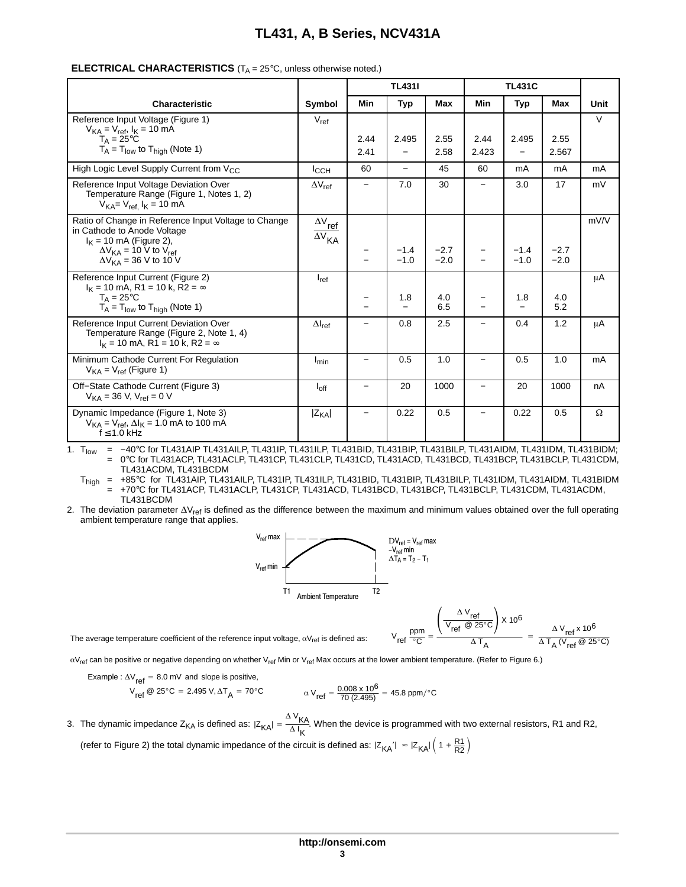|                                                                                                                              |                                                                |                 | <b>TL431I</b>            |                  |       | <b>TL431C</b>     |                  |        |
|------------------------------------------------------------------------------------------------------------------------------|----------------------------------------------------------------|-----------------|--------------------------|------------------|-------|-------------------|------------------|--------|
|                                                                                                                              |                                                                |                 |                          |                  |       |                   |                  |        |
| Characteristic                                                                                                               | Symbol                                                         | Min             | <b>Typ</b>               | Max              | Min   | <b>Typ</b>        | Max              | Unit   |
| Reference Input Voltage (Figure 1)<br>$V_{KA} = V_{ref}$ , $I_{K} = 10$ mA                                                   | $V_{ref}$                                                      |                 |                          |                  |       |                   |                  | $\vee$ |
| $T_A = 25^{\circ}C$                                                                                                          |                                                                | 2.44            | 2.495                    | 2.55             | 2.44  | 2.495             | 2.55             |        |
| $T_A = T_{low}$ to $T_{high}$ (Note 1)                                                                                       |                                                                | 2.41            |                          | 2.58             | 2.423 | $\qquad \qquad -$ | 2.567            |        |
| High Logic Level Supply Current from V <sub>CC</sub>                                                                         | $I_{\rm CCH}$                                                  | 60              | $\overline{\phantom{0}}$ | 45               | 60    | mA                | mA               | mA     |
| Reference Input Voltage Deviation Over<br>Temperature Range (Figure 1, Notes 1, 2)<br>$V_{KA} = V_{ref}$ $I_K = 10$ mA       | $\Delta V_{ref}$                                               |                 | 7.0                      | 30               |       | 3.0               | 17               | mV     |
| Ratio of Change in Reference Input Voltage to Change<br>in Cathode to Anode Voltage<br>$I_K$ = 10 mA (Figure 2),             | $\Delta\rm{V}_{\rm{ref}}$<br>$\overline{\Delta V}_{\text{KA}}$ |                 |                          |                  |       |                   |                  | mV/V   |
| $\Delta V_{KA}$ = 10 V to $V_{ref}$<br>$\Delta V_{KA}$ = 36 V to 10 V                                                        |                                                                |                 | $-1.4$<br>$-1.0$         | $-2.7$<br>$-2.0$ |       | $-1.4$<br>$-1.0$  | $-2.7$<br>$-2.0$ |        |
| Reference Input Current (Figure 2)<br>$I_K$ = 10 mA, R1 = 10 k, R2 = $\infty$                                                | $I_{ref}$                                                      |                 |                          |                  |       |                   |                  | μA     |
| $T_{\Delta} = 25^{\circ}C$<br>$T_A = T_{low}$ to $T_{high}$ (Note 1)                                                         |                                                                |                 | 1.8                      | 4.0<br>6.5       |       | 1.8               | 4.0<br>5.2       |        |
| Reference Input Current Deviation Over<br>Temperature Range (Figure 2, Note 1, 4)<br>$I_K$ = 10 mA, R1 = 10 k, R2 = $\infty$ | $\Delta I_{\rm ref}$                                           |                 | 0.8                      | 2.5              | -     | 0.4               | 1.2              | μA     |
| Minimum Cathode Current For Regulation<br>$V_{KA} = V_{ref}$ (Figure 1)                                                      | $I_{min}$                                                      |                 | 0.5                      | 1.0              |       | 0.5               | 1.0              | mA     |
| Off-State Cathode Current (Figure 3)<br>$V_{KA} = 36 V$ , $V_{ref} = 0 V$                                                    | $I_{\text{off}}$                                               | $\qquad \qquad$ | 20                       | 1000             | -     | 20                | 1000             | nA     |
| Dynamic Impedance (Figure 1, Note 3)<br>$V_{KA} = V_{ref}$ , $\Delta I_K = 1.0$ mA to 100 mA<br>$f \leq 1.0$ kHz             | $ Z_{KA} $                                                     |                 | 0.22                     | 0.5              | -     | 0.22              | 0.5              | Ω      |

#### **ELECTRICAL CHARACTERISTICS**  $(T_A = 25^\circ \text{C}$ , unless otherwise noted.)

1. T<sub>low</sub> = −40°C for TL431AIP TL431AILP, TL431IP, TL431ILP, TL431BID, TL431BIP, TL431BILP, TL431AIDM, TL431IDM, TL431BIDM;<br>= 0°C for TL431ACP, TL431ACI P. TL431CP, TL431CI P. TL431CD, TL431ACD, TL431BCD, TL431BCP, TL431B 0°C for TL431ACP, TL431ACLP, TL431CP, TL431CLP, TL431CD, TL431ACD, TL431BCD, TL431BCP, TL431BCLP, TL431CDM, TL431ACDM, TL431BCDM

T<sub>high</sub> = +85°C for TL431AIP, TL431AILP, TL431IP, TL431ILP, TL431BID, TL431BIP, TL431BILP, TL431IDM, TL431AIDM, TL431BIDM = +70°C for TL431ACP, TL431ACLP, TL431CP, TL431ACD, TL431BCD, TL431BCP, TL431BCLP, TL431CDM, TL431ACDM, TL431BCDM

2. The deviation parameter  $\Delta V_{ref}$  is defined as the difference between the maximum and minimum values obtained over the full operating ambient temperature range that applies.



$$
V_{ref} \frac{ppm}{^{\circ}C} = \frac{\left(\frac{\Delta \, V_{ref}}{V_{ref} \otimes 25^{\circ}C}\right) \times 10^6}{\Delta \, T_A} \ = \ \frac{\Delta \, V_{ref} \times 10^6}{\Delta \, T_A \, (V_{ref} \otimes 25^{\circ}C)}
$$

The average temperature coefficient of the reference input voltage,  $\alpha V_{ref}$  is defined as:

 $\alpha V_{\text{ref}}$  can be positive or negative depending on whether  $V_{\text{ref}}$  Min or  $V_{\text{ref}}$  Max occurs at the lower ambient temperature. (Refer to Figure 6.)

Example :  $\Delta V_{ref} = 8.0$  mV and slope is positive,

$$
V_{ref} \ @ 25^{\circ}C = 2.495 \text{ V}, \Delta T_A = 70^{\circ}C \qquad \alpha \text{ V}_{ref} = \frac{0.008 \times 10^6}{70 (2.495)} = 45.8 \text{ ppm} / ^{\circ}C
$$

3. The dynamic impedance Z<sub>KA</sub> is defined as:  $|Z_{KA}| = \frac{\Delta V_{KA}}{\Delta I_K}$ . When the device is programmed with two external resistors, R1 and R2, (refer to Figure 2) the total dynamic impedance of the circuit is defined as:  $|Z_{\mathsf{KA}}^+| \approx |Z_{\mathsf{KA}}^+| \left(1 + \frac{\mathsf{R1}}{\mathsf{R2}}\right)$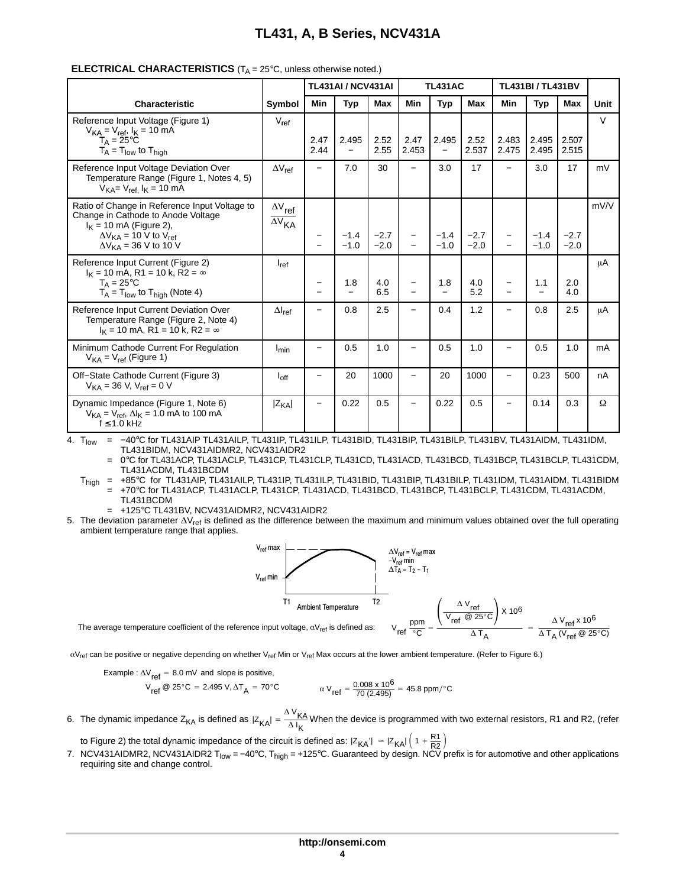|                                                                                                                                                                                           |                                                                               |                          | <b>TL431AI / NCV431AI</b>         |                  |                          | <b>TL431AC</b>                    |                  |                          | <b>TL431BI/TL431BV</b>          |                  |      |
|-------------------------------------------------------------------------------------------------------------------------------------------------------------------------------------------|-------------------------------------------------------------------------------|--------------------------|-----------------------------------|------------------|--------------------------|-----------------------------------|------------------|--------------------------|---------------------------------|------------------|------|
| <b>Characteristic</b>                                                                                                                                                                     | Symbol                                                                        | <b>Min</b>               | <b>Typ</b>                        | <b>Max</b>       | Min                      | <b>Typ</b>                        | <b>Max</b>       | Min                      | Typ                             | Max              | Unit |
| Reference Input Voltage (Figure 1)<br>$V_{KA} = V_{ref}$ , $I_{K} = 10$ mA<br>$T_A = 25^{\circ}C$<br>$T_A = T_{low}$ to $T_{high}$                                                        | $V_{\text{ref}}$                                                              | 2.47<br>2.44             | 2.495<br>$\overline{\phantom{0}}$ | 2.52<br>2.55     | 2.47<br>2.453            | 2.495<br>$\overline{\phantom{0}}$ | 2.52<br>2.537    | 2.483<br>2.475           | 2.495<br>2.495                  | 2.507<br>2.515   | V    |
| Reference Input Voltage Deviation Over<br>Temperature Range (Figure 1, Notes 4, 5)<br>$V_{KA} = V_{ref.} I_K = 10 \text{ mA}$                                                             | $\Delta V_{ref}$                                                              | $\overline{\phantom{m}}$ | 7.0                               | 30               | $\overline{\phantom{0}}$ | 3.0                               | 17               | $\overline{\phantom{0}}$ | 3.0                             | 17               | mV   |
| Ratio of Change in Reference Input Voltage to<br>Change in Cathode to Anode Voltage<br>$I_K$ = 10 mA (Figure 2),<br>$\Delta V_{KA}$ = 10 V to $V_{ref}$<br>$\Delta V_{KA}$ = 36 V to 10 V | $\Delta\rm {V}_{\underline{\text{ref}}}$<br>$\overline{\Delta V}_{\text{KA}}$ |                          | $-1.4$<br>$-1.0$                  | $-2.7$<br>$-2.0$ | $\overline{\phantom{0}}$ | $-1.4$<br>$-1.0$                  | $-2.7$<br>$-2.0$ | $\overline{\phantom{m}}$ | $-1.4$<br>$-1.0$                | $-2.7$<br>$-2.0$ | mV/V |
| Reference Input Current (Figure 2)<br>$I_K$ = 10 mA, R1 = 10 k, R2 = $\infty$<br>$T_{\Delta} = 25^{\circ}C$<br>$T_A = T_{low}$ to $T_{high}$ (Note 4)                                     | $I_{ref}$                                                                     |                          | 1.8<br>$\overline{\phantom{0}}$   | 4.0<br>6.5       |                          | 1.8                               | 4.0<br>5.2       |                          | 1.1<br>$\overline{\phantom{0}}$ | 2.0<br>4.0       | μA   |
| Reference Input Current Deviation Over<br>Temperature Range (Figure 2, Note 4)<br>$I_K = 10$ mA, R1 = 10 k, R2 = $\infty$                                                                 | $\Delta I_{ref}$                                                              |                          | 0.8                               | 2.5              |                          | 0.4                               | 1.2              | $\overline{\phantom{0}}$ | 0.8                             | 2.5              | μA   |
| Minimum Cathode Current For Regulation<br>$V_{KA} = V_{ref}$ (Figure 1)                                                                                                                   | $I_{min}$                                                                     |                          | 0.5                               | 1.0              |                          | 0.5                               | 1.0              |                          | 0.5                             | 1.0              | mA   |
| Off-State Cathode Current (Figure 3)<br>$V_{KA}$ = 36 V, $V_{ref}$ = 0 V                                                                                                                  | $I_{\text{off}}$                                                              |                          | 20                                | 1000             |                          | 20                                | 1000             |                          | 0.23                            | 500              | nA   |
| Dynamic Impedance (Figure 1, Note 6)<br>$V_{KA} = V_{ref}$ , $\Delta I_K = 1.0$ mA to 100 mA<br>$f \leq 1.0$ kHz                                                                          | $ Z_{KA} $                                                                    | $\qquad \qquad -$        | 0.22                              | 0.5              |                          | 0.22                              | 0.5              |                          | 0.14                            | 0.3              | Ω    |

#### **ELECTRICAL CHARACTERISTICS**  $(T_A = 25^\circ \text{C}, \text{ unless otherwise noted.)}$

4. T<sub>low</sub> = −40°C for TL431AIP TL431AILP, TL431IP, TL431ILP, TL431BID, TL431BIP, TL431BILP, TL431BV, TL431AIDM, TL431IDM, TL431BIDM, NCV431AIDMR2, NCV431AIDR2

= 0°C for TL431ACP, TL431ACLP, TL431CP, TL431CLP, TL431CD, TL431ACD, TL431BCD, TL431BCP, TL431BCLP, TL431CDM, TL431ACDM, TL431BCDM

 $T_{\text{high}}$  = +85°C for TL431AIP, TL431AILP, TL431IP, TL431ILP, TL431BID, TL431BIP, TL431BILP, TL431IDM, TL431AIDM, TL431BIDM = +70°C for TL431ACP, TL431ACLP, TL431CP, TL431ACD, TL431BCD, TL431BCP, TL431BCLP, TL431CDM, TL431ACDM, TL431BCDM

= +125°C TL431BV, NCV431AIDMR2, NCV431AIDR2

5. The deviation parameter  $\Delta V_{ref}$  is defined as the difference between the maximum and minimum values obtained over the full operating ambient temperature range that applies.



 $\alpha V_{\text{ref}}$  can be positive or negative depending on whether  $V_{\text{ref}}$  Min or  $V_{\text{ref}}$  Max occurs at the lower ambient temperature. (Refer to Figure 6.)

Example : 
$$
\Delta V_{ref} = 8.0
$$
 mV and slope is positive,  
\n
$$
V_{ref} \text{ } @ 25^{\circ}C = 2.495 \text{ V}, \Delta T_A = 70^{\circ}C
$$
\n
$$
\alpha \text{ } V_{ref} = \frac{0.008 \times 10^6}{70 (2.495)} = 45.8 \text{ ppm}/^{\circ}C
$$

6. The dynamic impedance Z<sub>KA</sub> is defined as  $|Z_{KA}| = \frac{\Delta V_{KA}}{\Delta I_K}$ When the device is programmed with two external resistors, R1 and R2, (refer

to Figure 2) the total dynamic impedance of the circuit is defined as:  $|Z_{\mathsf{KA}}^+|\approx |Z_{\mathsf{KA}}^+|\left(1+\frac{\mathsf{R1}}{\mathsf{R2}}\right)$ 

7. NCV431AIDMR2, NCV431AIDR2 T<sub>low</sub> = −40°C, T<sub>high</sub> = +125°C. Guaranteed by design. NCV prefix is for automotive and other applications requiring site and change control.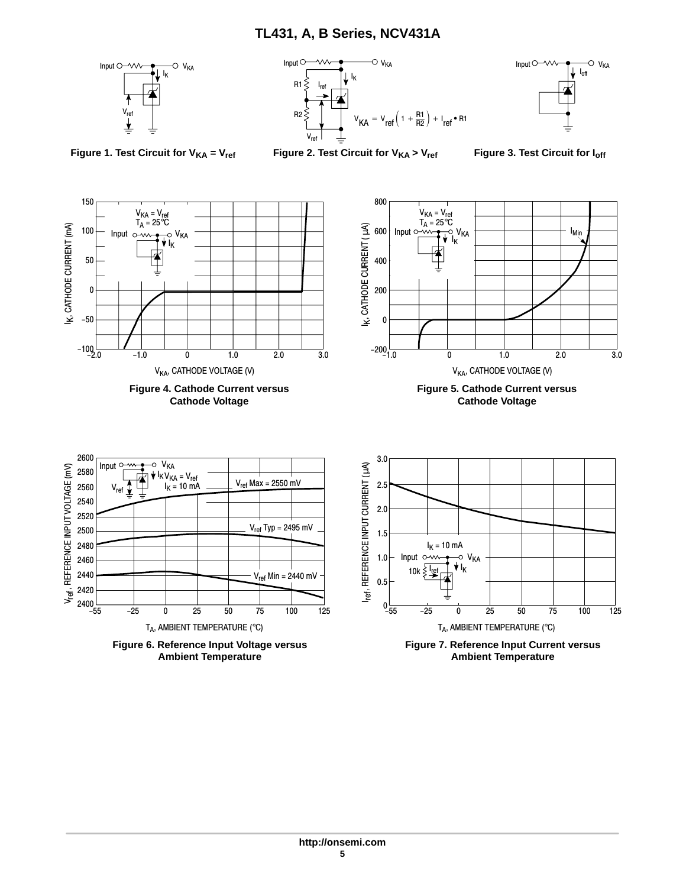





**Figure 1. Test Circuit for V<sub>KA</sub> = V<sub>ref</sub>** 

**Figure 2. Test Circuit for V<sub>KA</sub> > V<sub>ref</sub>** 

**Figure 3. Test Circuit for Ioff** 

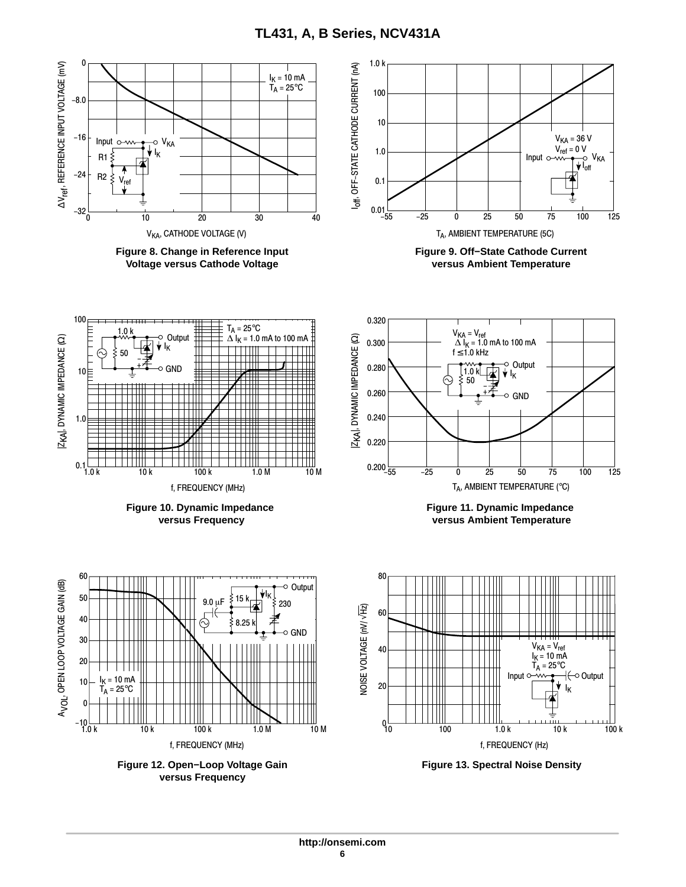<span id="page-5-0"></span>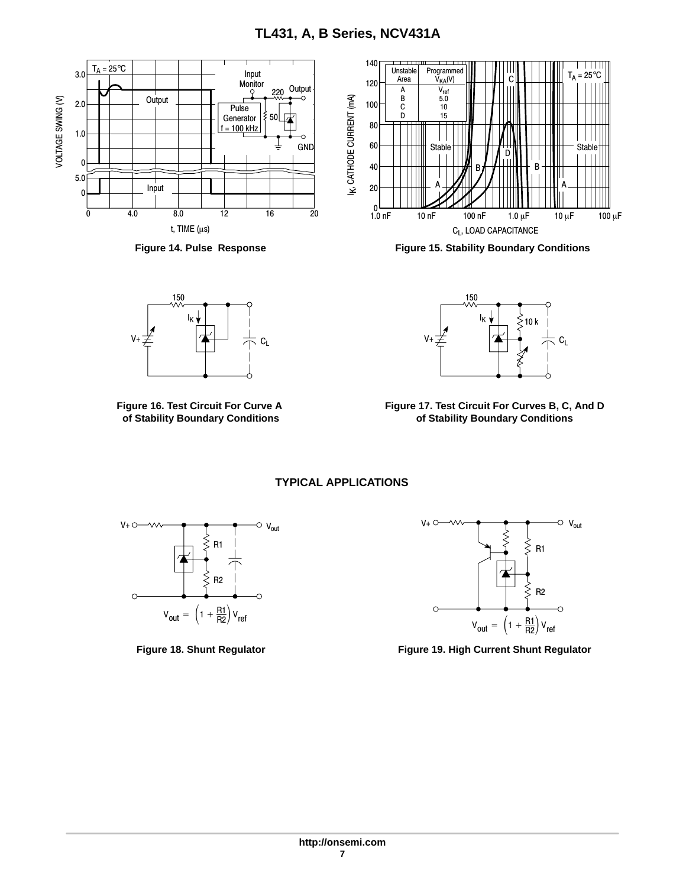<span id="page-6-0"></span>



**Figure 16. Test Circuit For Curve A of Stability Boundary Conditions**



**Figure 14. Pulse Response Figure 15. Stability Boundary Conditions**



**Figure 17. Test Circuit For Curves B, C, And D of Stability Boundary Conditions**

**TYPICAL APPLICATIONS**





**Figure 18. Shunt Regulator Figure 19. High Current Shunt Regulator**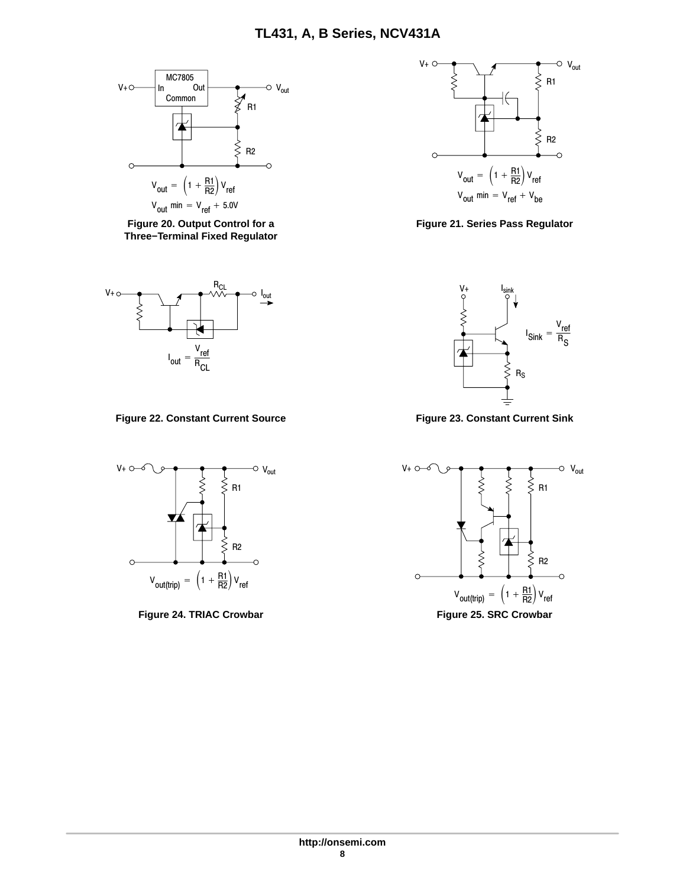

**Figure 20. Output Control for a Three−Terminal Fixed Regulator**



Figure 22. Constant Current Source **Figure 23. Constant Current Sink** 





**Figure 21. Series Pass Regulator**



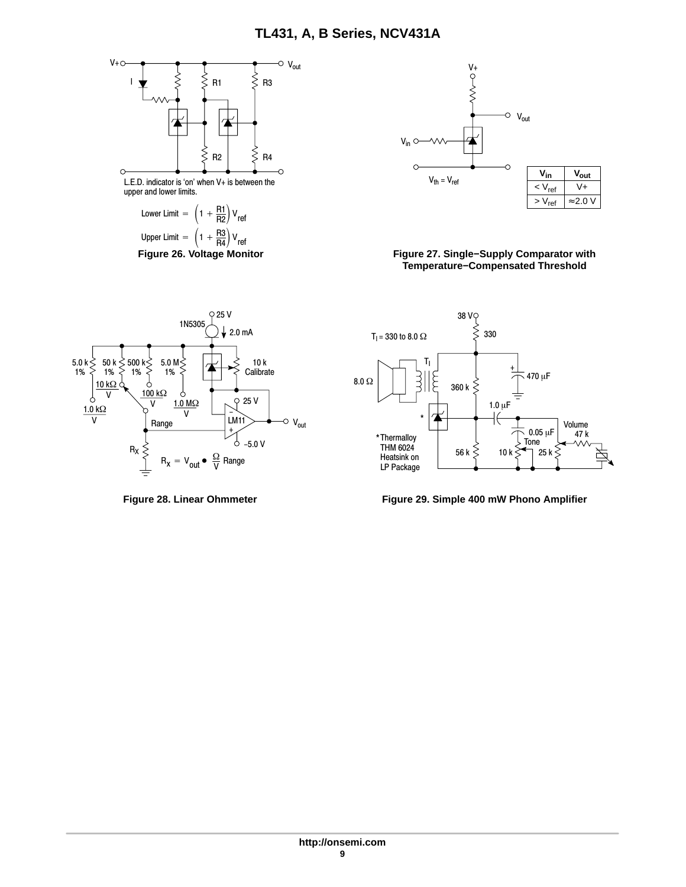



#### **Figure 26. Voltage Monitor Figure 27. Single−Supply Comparator with Temperature−Compensated Threshold**





**Figure 28. Linear Ohmmeter Figure 29. Simple 400 mW Phono Amplifier**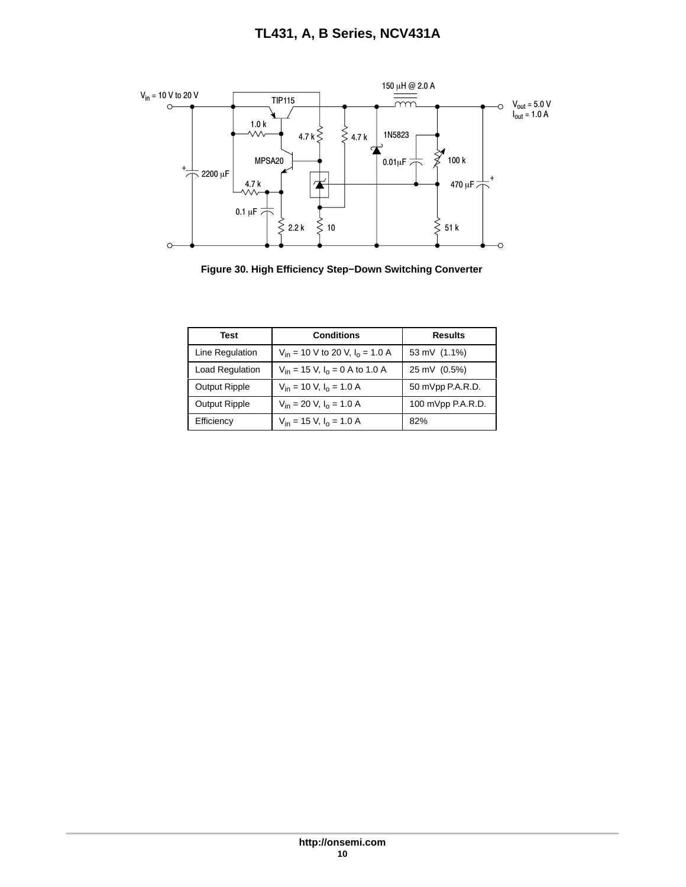

**Figure 30. High Efficiency Step−Down Switching Converter**

| <b>Conditions</b><br><b>Test</b> |                                                | Results           |
|----------------------------------|------------------------------------------------|-------------------|
| Line Regulation                  | $V_{in}$ = 10 V to 20 V, $I_0$ = 1.0 A         | 53 mV (1.1%)      |
| Load Regulation                  | $V_{in}$ = 15 V, I <sub>o</sub> = 0 A to 1.0 A | 25 mV (0.5%)      |
| <b>Output Ripple</b>             | $V_{in}$ = 10 V, $I_0$ = 1.0 A                 | 50 mVpp P.A.R.D.  |
| <b>Output Ripple</b>             | $V_{in}$ = 20 V, $I_0$ = 1.0 A                 | 100 mVpp P.A.R.D. |
| Efficiency                       | $V_{in}$ = 15 V, $I_0$ = 1.0 A                 | 82%               |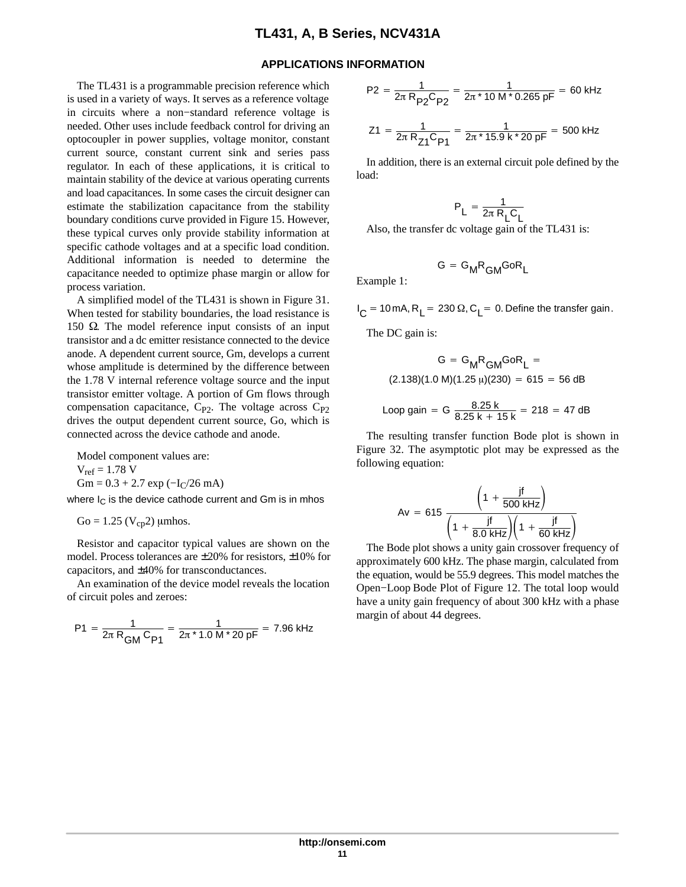#### **APPLICATIONS INFORMATION**

The TL431 is a programmable precision reference which is used in a variety of ways. It serves as a reference voltage in circuits where a non−standard reference voltage is needed. Other uses include feedback control for driving an optocoupler in power supplies, voltage monitor, constant current source, constant current sink and series pass regulator. In each of these applications, it is critical to maintain stability of the device at various operating currents and load capacitances. In some cases the circuit designer can estimate the stabilization capacitance from the stability boundary conditions curve provided in Figure [15](#page-6-0). However, these typical curves only provide stability information at specific cathode voltages and at a specific load condition. Additional information is needed to determine the capacitance needed to optimize phase margin or allow for process variation.

A simplified model of the TL431 is shown in Figure [31.](#page-11-0) When tested for stability boundaries, the load resistance is 150  $\Omega$ . The model reference input consists of an input transistor and a dc emitter resistance connected to the device anode. A dependent current source, Gm, develops a current whose amplitude is determined by the difference between the 1.78 V internal reference voltage source and the input transistor emitter voltage. A portion of Gm flows through compensation capacitance,  $C_{P2}$ . The voltage across  $C_{P2}$ drives the output dependent current source, Go, which is connected across the device cathode and anode.

Model component values are:

 $V_{ref} = 1.78 V$ 

Gm =  $0.3 + 2.7$  exp ( $-I<sub>C</sub>/26$  mA)

where  $I_C$  is the device cathode current and Gm is in mhos

 $Go = 1.25 (V_{cp}2)$  µmhos.

Resistor and capacitor typical values are shown on the model. Process tolerances are  $\pm 20\%$  for resistors,  $\pm 10\%$  for capacitors, and ±40% for transconductances.

An examination of the device model reveals the location of circuit poles and zeroes:

$$
P1 = \frac{1}{2\pi R_{GM} C_{P1}} = \frac{1}{2\pi * 1.0 M * 20 pF} = 7.96 \text{ kHz}
$$

$$
P2 = \frac{1}{2\pi R_{P2}C_{P2}} = \frac{1}{2\pi * 10 M * 0.265 pF} = 60 \text{ kHz}
$$
  

$$
Z1 = \frac{1}{2\pi R_{Z1}C_{P1}} = \frac{1}{2\pi * 15.9 \text{ k} * 20 pF} = 500 \text{ kHz}
$$

In addition, there is an external circuit pole defined by the load:

$$
P_L = \frac{1}{2\pi R_L C_L}
$$

Also, the transfer dc voltage gain of the TL431 is:

$$
G = G_M R_{GM} G \circ R_L
$$

Example 1:

 $I_C = 10$  mA, R<sub>L</sub> = 230  $\Omega$ , C<sub>L</sub> = 0. Define the transfer gain.

The DC gain is:

$$
G = G_{M}R_{GM}GoR_{L} =
$$
  
(2.138)(1.0 M)(1.25  $\mu$ )(230) = 615 = 56 dB

Loop gain = G 
$$
\frac{8.25 \text{ k}}{8.25 \text{ k} + 15 \text{ k}}
$$
 = 218 = 47 dB

The resulting transfer function Bode plot is shown in Figure [32](#page-11-0). The asymptotic plot may be expressed as the following equation:

$$
Av = 615 \frac{\left(1 + \frac{jf}{500 \text{ kHz}}\right)}{\left(1 + \frac{jf}{8.0 \text{ kHz}}\right)\left(1 + \frac{jf}{60 \text{ kHz}}\right)}
$$

The Bode plot shows a unity gain crossover frequency of approximately 600 kHz. The phase margin, calculated from the equation, would be 55.9 degrees. This model matches the Open−Loop Bode Plot of Figure [12](#page-5-0). The total loop would have a unity gain frequency of about 300 kHz with a phase margin of about 44 degrees.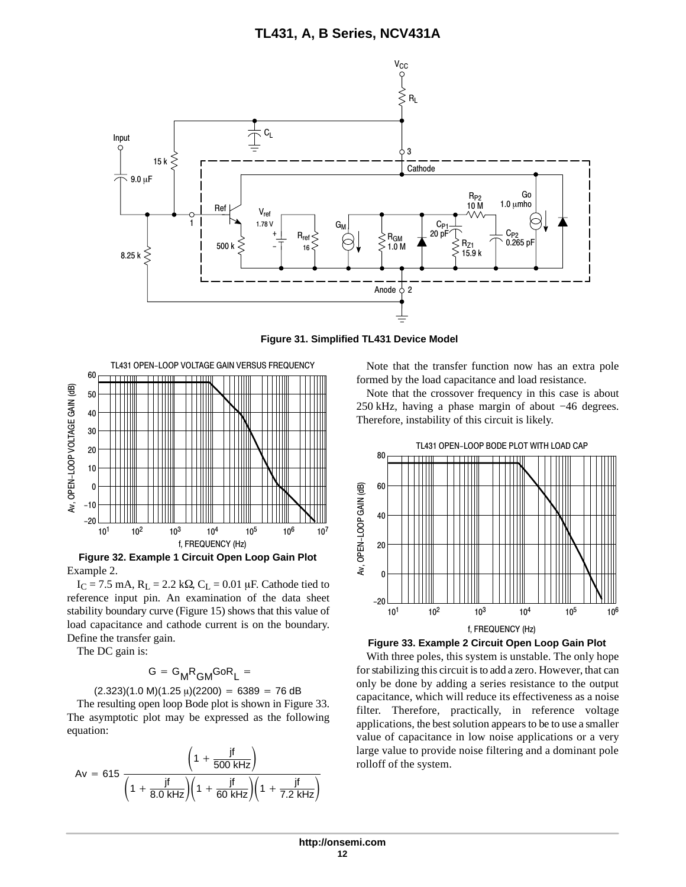<span id="page-11-0"></span>

**Figure 31. Simplified TL431 Device Model**



**Figure 32. Example 1 Circuit Open Loop Gain Plot** Example 2.

 $I_C = 7.5$  mA,  $R_L = 2.2$  k $\Omega$ ,  $C_L = 0.01$  µF. Cathode tied to reference input pin. An examination of the data sheet stability boundary curve (Figure [15\)](#page-6-0) shows that this value of load capacitance and cathode current is on the boundary. Define the transfer gain.

The DC gain is:

$$
G = G_M R_{GM} G o R_L =
$$

 $(2.323)(1.0 \text{ M})(1.25 \mu)(2200) = 6389 = 76 \text{ dB}$ 

The resulting open loop Bode plot is shown in Figure 33. The asymptotic plot may be expressed as the following equation:

$$
Av = 615 \frac{\left(1 + \frac{jf}{500 \text{ kHz}}\right)}{\left(1 + \frac{jf}{8.0 \text{ kHz}}\right)\left(1 + \frac{jf}{60 \text{ kHz}}\right)\left(1 + \frac{jf}{7.2 \text{ kHz}}\right)}
$$

Note that the transfer function now has an extra pole formed by the load capacitance and load resistance.

Note that the crossover frequency in this case is about 250 kHz, having a phase margin of about −46 degrees. Therefore, instability of this circuit is likely.



**Figure 33. Example 2 Circuit Open Loop Gain Plot**

With three poles, this system is unstable. The only hope for stabilizing this circuit is to add a zero. However, that can only be done by adding a series resistance to the output capacitance, which will reduce its effectiveness as a noise filter. Therefore, practically, in reference voltage applications, the best solution appears to be to use a smaller value of capacitance in low noise applications or a very large value to provide noise filtering and a dominant pole rolloff of the system.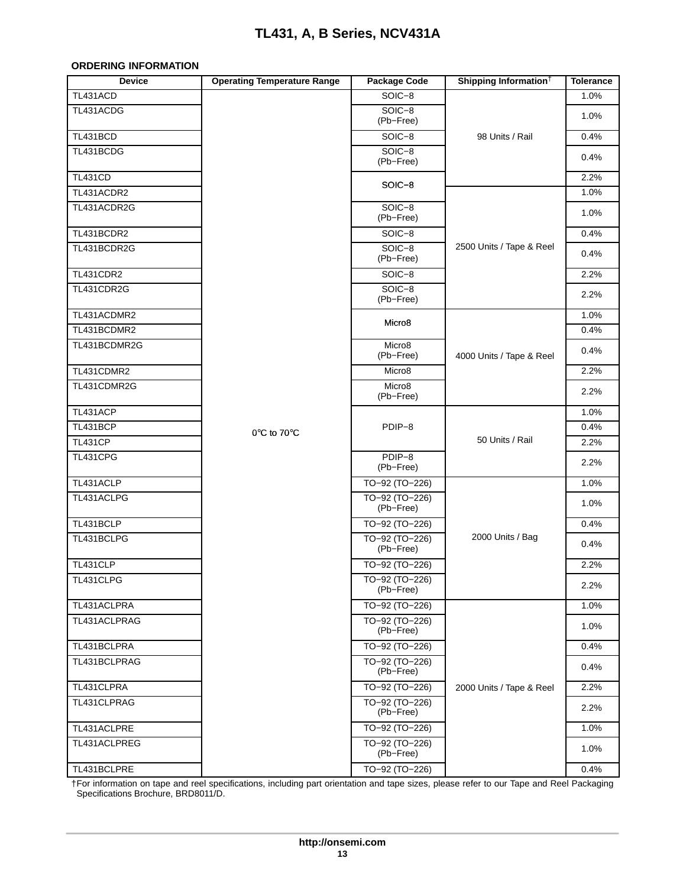#### <span id="page-12-0"></span>**ORDERING INFORMATION**

| <b>Device</b>    | <b>Operating Temperature Range</b> | <b>Package Code</b>             | Shipping Information <sup>†</sup> | <b>Tolerance</b> |
|------------------|------------------------------------|---------------------------------|-----------------------------------|------------------|
| TL431ACD         |                                    | $SOIC-8$                        |                                   | 1.0%             |
| TL431ACDG        |                                    | SOIC-8<br>(Pb-Free)             |                                   | 1.0%             |
| TL431BCD         |                                    | SOIC-8                          | 98 Units / Rail                   | 0.4%             |
| TL431BCDG        |                                    | SOIC-8<br>(Pb-Free)             |                                   | 0.4%             |
| <b>TL431CD</b>   |                                    |                                 |                                   | 2.2%             |
| TL431ACDR2       |                                    | $SOIC-8$                        |                                   | 1.0%             |
| TL431ACDR2G      |                                    | SOIC-8<br>(Pb-Free)             |                                   | 1.0%             |
| TL431BCDR2       |                                    | SOIC-8                          |                                   | 0.4%             |
| TL431BCDR2G      |                                    | SOIC-8<br>(Pb-Free)             | 2500 Units / Tape & Reel          | 0.4%             |
| <b>TL431CDR2</b> |                                    | SOIC-8                          |                                   | 2.2%             |
| TL431CDR2G       |                                    | SOIC-8<br>(Pb-Free)             |                                   | 2.2%             |
| TL431ACDMR2      |                                    |                                 |                                   | 1.0%             |
| TL431BCDMR2      |                                    | Micro <sub>8</sub>              |                                   | 0.4%             |
| TL431BCDMR2G     |                                    | Micro <sub>8</sub><br>(Pb-Free) | 4000 Units / Tape & Reel          | 0.4%             |
| TL431CDMR2       |                                    | Micro <sub>8</sub>              |                                   | 2.2%             |
| TL431CDMR2G      |                                    | Micro8<br>(Pb-Free)             |                                   | 2.2%             |
| TL431ACP         |                                    |                                 |                                   | 1.0%             |
| TL431BCP         | 0°C to 70°C                        | PDIP-8                          |                                   | 0.4%             |
| <b>TL431CP</b>   |                                    |                                 | 50 Units / Rail                   | 2.2%             |
| TL431CPG         |                                    | PDIP-8<br>(Pb-Free)             |                                   | 2.2%             |
| TL431ACLP        |                                    | TO-92 (TO-226)                  |                                   | 1.0%             |
| TL431ACLPG       |                                    | TO-92 (TO-226)<br>(Pb-Free)     |                                   | 1.0%             |
| TL431BCLP        |                                    | TO-92 (TO-226)                  |                                   | 0.4%             |
| TL431BCLPG       |                                    | TO-92 (TO-226)<br>(Pb-Free)     | 2000 Units / Bag                  | 0.4%             |
| TL431CLP         |                                    | TO-92 (TO-226)                  |                                   | 2.2%             |
| TL431CLPG        |                                    | TO-92 (TO-226)<br>(Pb-Free)     |                                   | 2.2%             |
| TL431ACLPRA      |                                    | TO-92 (TO-226)                  |                                   | 1.0%             |
| TL431ACLPRAG     |                                    | TO-92 (TO-226)<br>(Pb-Free)     |                                   | 1.0%             |
| TL431BCLPRA      |                                    | TO-92 (TO-226)                  |                                   | 0.4%             |
| TL431BCLPRAG     |                                    | TO-92 (TO-226)<br>(Pb-Free)     |                                   | 0.4%             |
| TL431CLPRA       |                                    | TO-92 (TO-226)                  | 2000 Units / Tape & Reel          | 2.2%             |
| TL431CLPRAG      |                                    | TO-92 (TO-226)<br>(Pb-Free)     |                                   | 2.2%             |
| TL431ACLPRE      |                                    | TO-92 (TO-226)                  |                                   | 1.0%             |
| TL431ACLPREG     |                                    | TO-92 (TO-226)<br>(Pb-Free)     |                                   | 1.0%             |
| TL431BCLPRE      |                                    | TO-92 (TO-226)                  |                                   | 0.4%             |

†For information on tape and reel specifications, including part orientation and tape sizes, please refer to our Tape and Reel Packaging Specifications Brochure, BRD8011/D.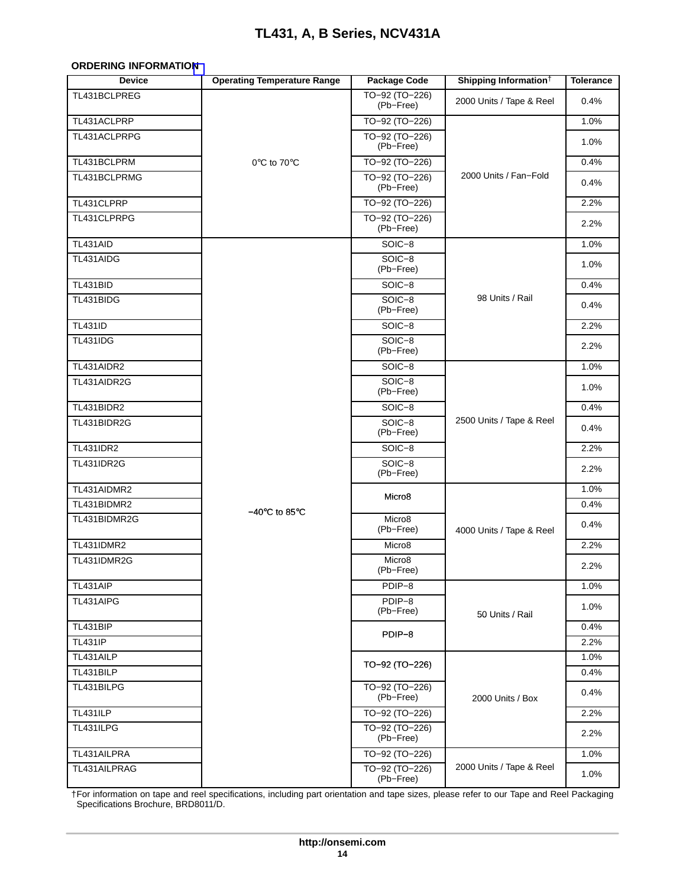#### **ORDERING INFORMATIO[N](#page-12-0)**

| <b>Device</b>     | <b>Operating Temperature Range</b> | <b>Package Code</b>             | Shipping Information <sup>†</sup> | <b>Tolerance</b> |
|-------------------|------------------------------------|---------------------------------|-----------------------------------|------------------|
| TL431BCLPREG      |                                    | TO-92 (TO-226)<br>(Pb-Free)     | 2000 Units / Tape & Reel          | 0.4%             |
| TL431ACLPRP       |                                    | TO-92 (TO-226)                  |                                   | 1.0%             |
| TL431ACLPRPG      |                                    | TO-92 (TO-226)<br>(Pb-Free)     |                                   | 1.0%             |
| TL431BCLPRM       | 0°C to 70°C                        | TO-92 (TO-226)                  |                                   | 0.4%             |
| TL431BCLPRMG      |                                    | TO-92 (TO-226)<br>(Pb-Free)     | 2000 Units / Fan-Fold             | 0.4%             |
| TL431CLPRP        |                                    | TO-92 (TO-226)                  |                                   | 2.2%             |
| TL431CLPRPG       |                                    | TO-92 (TO-226)<br>(Pb-Free)     |                                   | 2.2%             |
| TL431AID          |                                    | SOIC-8                          |                                   | 1.0%             |
| TL431AIDG         |                                    | SOIC-8<br>(Pb-Free)             |                                   | 1.0%             |
| TL431BID          |                                    | SOIC-8                          |                                   | 0.4%             |
| TL431BIDG         |                                    | $SOIC-8$<br>(Pb-Free)           | 98 Units / Rail                   | 0.4%             |
| <b>TL431ID</b>    |                                    | SOIC-8                          |                                   | 2.2%             |
| <b>TL431IDG</b>   |                                    | $SOIC-8$<br>(Pb-Free)           |                                   | 2.2%             |
| TL431AIDR2        |                                    | SOIC-8                          |                                   | 1.0%             |
| TL431AIDR2G       |                                    | SOIC-8<br>(Pb-Free)             |                                   | 1.0%             |
| TL431BIDR2        |                                    | SOIC-8                          |                                   | 0.4%             |
| TL431BIDR2G       |                                    | $SOIC-8$<br>(Pb-Free)           | 2500 Units / Tape & Reel          | 0.4%             |
| <b>TL431IDR2</b>  |                                    | SOIC-8                          |                                   | 2.2%             |
| <b>TL431IDR2G</b> |                                    | SOIC-8<br>(Pb-Free)             |                                   | 2.2%             |
| TL431AIDMR2       |                                    | Micro <sub>8</sub>              |                                   | 1.0%             |
| TL431BIDMR2       | $-40^{\circ}$ C to 85 $^{\circ}$ C |                                 |                                   | 0.4%             |
| TL431BIDMR2G      |                                    | Micro8<br>(Pb-Free)             | 4000 Units / Tape & Reel          | 0.4%             |
| <b>TL431IDMR2</b> |                                    | Micro <sub>8</sub>              |                                   | 2.2%             |
| TL431IDMR2G       |                                    | Micro <sub>8</sub><br>(Pb-Free) |                                   | 2.2%             |
| TL431AIP          |                                    | PDIP-8                          |                                   | 1.0%             |
| TL431AIPG         |                                    | PDIP-8<br>(Pb-Free)             | 50 Units / Rail                   | 1.0%             |
| TL431BIP          |                                    | PDIP-8                          |                                   | 0.4%             |
| <b>TL431IP</b>    |                                    |                                 |                                   | 2.2%             |
| TL431AILP         |                                    | TO-92 (TO-226)                  |                                   | 1.0%             |
| TL431BILP         |                                    |                                 |                                   | 0.4%             |
| TL431BILPG        |                                    | TO-92 (TO-226)<br>(Pb-Free)     | 2000 Units / Box                  | 0.4%             |
| <b>TL431ILP</b>   |                                    | TO-92 (TO-226)                  |                                   | 2.2%             |
| TL431ILPG         |                                    | TO-92 (TO-226)<br>(Pb-Free)     |                                   | 2.2%             |
| TL431AILPRA       |                                    | TO-92 (TO-226)                  |                                   | 1.0%             |
| TL431AILPRAG      |                                    | TO-92 (TO-226)<br>(Pb-Free)     | 2000 Units / Tape & Reel          | 1.0%             |

†For information on tape and reel specifications, including part orientation and tape sizes, please refer to our Tape and Reel Packaging Specifications Brochure, BRD8011/D.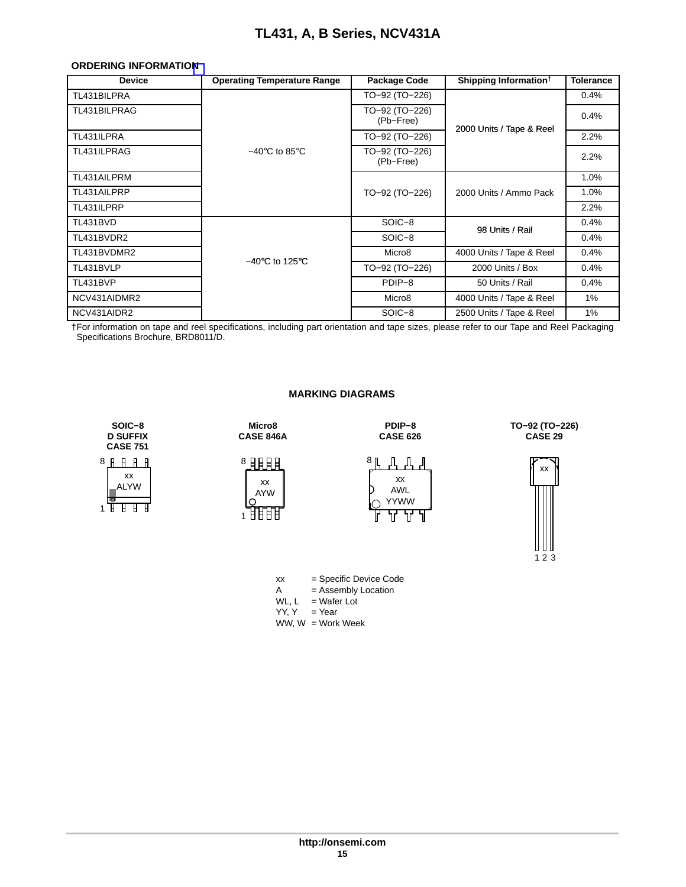#### <span id="page-14-0"></span>**ORDERING INFORMATIO[N](#page-12-0)**

| <b>Device</b> | <b>Operating Temperature Range</b>  | Package Code                | Shipping Information <sup>†</sup> | <b>Tolerance</b> |
|---------------|-------------------------------------|-----------------------------|-----------------------------------|------------------|
| TL431BILPRA   |                                     | TO-92 (TO-226)              |                                   | 0.4%             |
| TL431BILPRAG  |                                     | TO-92 (TO-226)<br>(Pb-Free) |                                   | 0.4%             |
| TL431ILPRA    |                                     | TO-92 (TO-226)              | 2000 Units / Tape & Reel          | 2.2%             |
| TL431ILPRAG   | $-40^{\circ}$ C to 85 $^{\circ}$ C  | TO-92 (TO-226)<br>(Pb-Free) |                                   | 2.2%             |
| TL431AILPRM   |                                     |                             |                                   | 1.0%             |
| TL431AILPRP   |                                     | TO-92 (TO-226)              | 2000 Units / Ammo Pack            | 1.0%             |
| TL431ILPRP    |                                     |                             |                                   | 2.2%             |
| TL431BVD      |                                     | SOIC-8                      | 98 Units / Rail                   | 0.4%             |
| TL431BVDR2    |                                     | SOIC-8                      |                                   | 0.4%             |
| TL431BVDMR2   |                                     | Micro <sub>8</sub>          | 4000 Units / Tape & Reel          | 0.4%             |
| TL431BVLP     | $-40^{\circ}$ C to 125 $^{\circ}$ C | TO-92 (TO-226)              | 2000 Units / Box                  | 0.4%             |
| TL431BVP      |                                     | PDIP-8                      | 50 Units / Rail                   | 0.4%             |
| NCV431AIDMR2  |                                     | Micro <sub>8</sub>          | 4000 Units / Tape & Reel          | 1%               |
| NCV431AIDR2   |                                     | SOIC-8                      | 2500 Units / Tape & Reel          | 1%               |

†For information on tape and reel specifications, including part orientation and tape sizes, please refer to our Tape and Reel Packaging Specifications Brochure, BRD8011/D.

#### **MARKING DIAGRAMS**



**Micro8 CASE 846A**

xx AYW 1HHH

<sup>8</sup>且用用

**PDIP−8 CASE 626**



**TO−92 (TO−226) CASE 29**





= Assembly Location

- WL,  $L = Water$  Lot
- $YY, Y = Year$
- WW, W = Work Week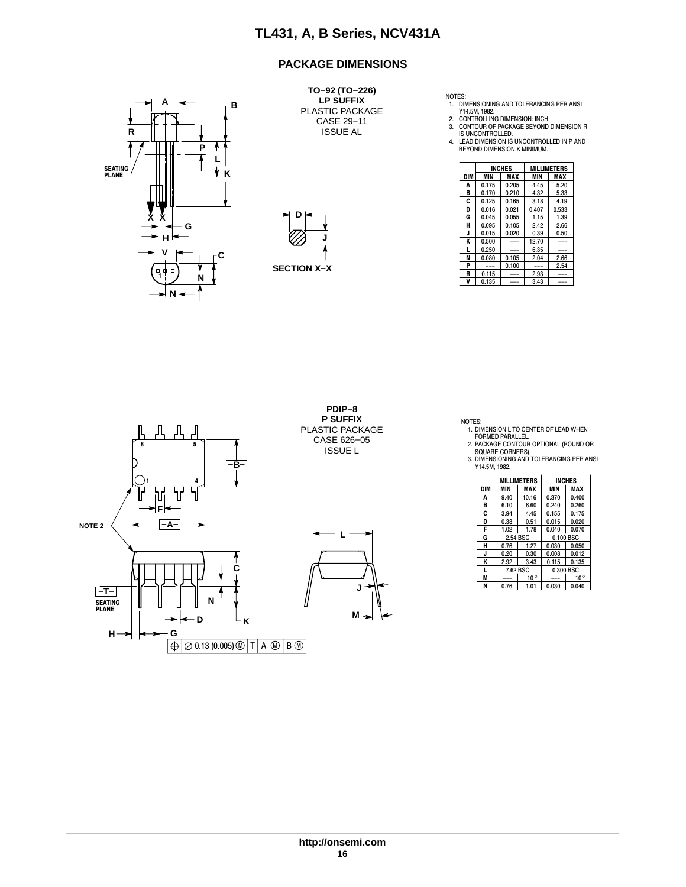#### **PACKAGE DIMENSIONS**



**TO−92 (TO−226) LP SUFFIX** PLASTIC PACKAGE CASE 29−11 ISSUE AL



NOTES:<br>
1. DIMENSIONING AND TOLERANCING PER ANSI<br>
Y14.5M, 1982.<br>
2. CONTROLLING DIMENSION: INCH.<br>
3. CONTOUR OF PACKAGE BEYOND DIMENSION R<br>
15 UNCONTROLLED.<br>
4. LEAD DIMENSION IS UNCONTROLLED IN P AND<br>
BEYOND DIMENSION K M

| ,,,<br>- |                    |     |         | <b>INCHES</b> |               | <b>MILLIMETERS</b> |
|----------|--------------------|-----|---------|---------------|---------------|--------------------|
| Κ        |                    | DIM | MIN     | <b>MAX</b>    | MIN           | <b>MAX</b>         |
|          |                    | А   | 0.175   | 0.205         | 4.45          | 5.20               |
| ▥        |                    | в   | 0.170   | 0.210         | 4.32          | 5.33               |
| Ш        |                    | c   | 0.125   | 0.165         | 3.18          | 4.19               |
|          |                    | D   | 0.016   | 0.021         | 0.407         | 0.533              |
| ŵ<br>́́^ | D                  | G   | 0.045   | 0.055         | 1.15          | 1.39               |
| G        |                    | н   | 0.095   | 0.105         | 2.42          | 2.66               |
|          |                    | J   | 0.015   | 0.020         | 0.39          | 0.50               |
| н١       |                    | к   | 0.500   | $---$         | 12.70         | ---                |
| v        |                    |     | 0.250   | $---$         | 6.35          | ---                |
|          |                    | N   | 0.080   | 0.105         | 2.04          | 2.66               |
|          | <b>SECTION X-X</b> | D   | $- - -$ | 0.100         | $\frac{1}{2}$ | 2.54               |
| ⊕e<br>N  |                    | R   | 0.115   | $---$         | 2.93          | ---                |
|          |                    | v   | 0.135   | $---$         | 3.43          | ---                |



NOTES:

1. DIMENSION L TO CENTER OF LEAD WHEN FORMED PARALLEL. 2. PACKAGE CONTOUR OPTIONAL (ROUND OR

SQUARE CORNERS). 3. DIMENSIONING AND TOLERANCING PER ANSI Y14.5M, 1982.

|     |      | <b>MILLIMETERS</b> | <b>INCHES</b> |              |  |
|-----|------|--------------------|---------------|--------------|--|
| DIM | MIN  | MAX                | MIN           | MAX          |  |
| A   | 9.40 | 10.16              | 0.370         | 0.400        |  |
| в   | 6.10 | 6.60               | 0.240         | 0.260        |  |
| C   | 3.94 | 4.45               | 0.155         | 0.175        |  |
| D   | 0.38 | 0.51               | 0.015         | 0.020        |  |
| F   | 1.02 | 1.78               | 0.040         | 0.070        |  |
| G   |      | 2.54 BSC           | 0.100 BSC     |              |  |
| н   | 0.76 | 1.27               | 0.030         | 0.050        |  |
| J   | 0.20 | 0.30               | 0.008         | 0.012        |  |
| K   | 2.92 | 3.43               | 0.115         | 0.135        |  |
| L   |      | 7.62 BSC           | 0.300 BSC     |              |  |
| M   |      | $10^{\circ}$       |               | $10^{\circ}$ |  |
| N   | 0.76 | 1.01               | 0.030         | 0.040        |  |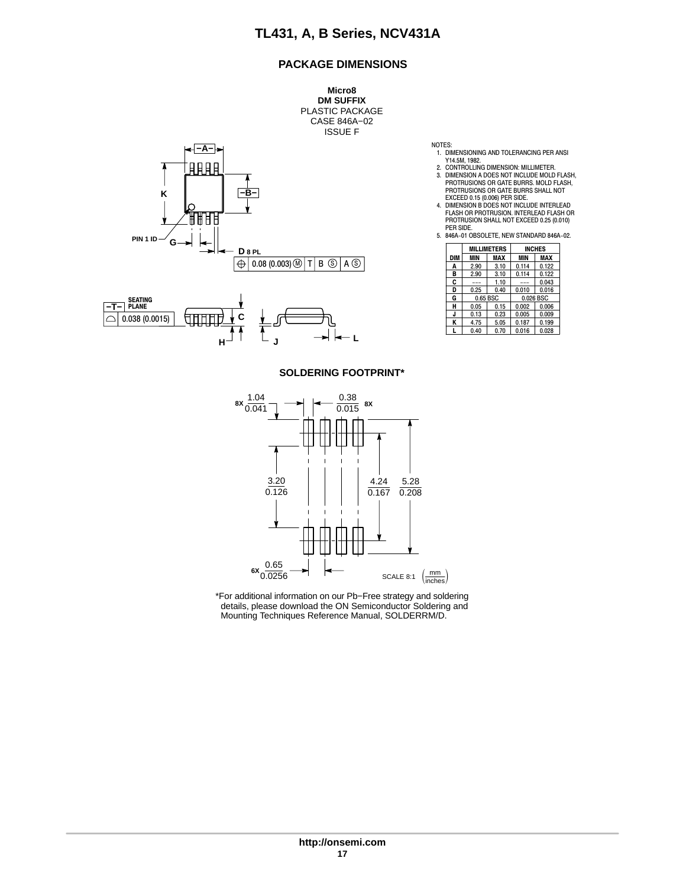#### **PACKAGE DIMENSIONS**

**Micro8 DM SUFFIX** PLASTIC PACKAGE CASE 846A−02 ISSUE F





NOTES:

- 1. DIMENSIONING AND TOLERANCING PER ANSI Y14.5M, 1982.
- 
- 2. CONTROLLING DIMENSION: MILLIMETER. 3. DIMENSION A DOES NOT INCLUDE MOLD FLASH, PROTRUSIONS OR GATE BURRS. MOLD FLASH, PROTRUSIONS OR GATE BURRS SHALL NOT EXCEED 0.15 (0.006) PER SIDE. 4. DIMENSION B DOES NOT INCLUDE INTERLEAD
- FLASH OR PROTRUSION. INTERLEAD FLASH OR PROTRUSION SHALL NOT EXCEED 0.25 (0.010) PER SIDE.
- 5. 846A−01 OBSOLETE, NEW STANDARD 846A−02.

|     | <b>MILLIMETERS</b> |      | <b>INCHES</b> |       |
|-----|--------------------|------|---------------|-------|
| DIM | MIN                | MAX  | <b>MIN</b>    | MAX   |
| A   | 2.90               | 3.10 | 0.114         | 0.122 |
| в   | 2.90               | 3.10 | 0.114         | 0.122 |
| c   | ---                | 1.10 | $- -$         | 0.043 |
| D   | 0.25               | 0.40 | 0.010         | 0.016 |
| G   | 0.65 BSC           |      | 0.026 BSC     |       |
| н   | 0.05               | 0.15 | 0.002         | 0.006 |
| J   | 0.13               | 0.23 | 0.005         | 0.009 |
| ĸ   | 4.75               | 5.05 | 0.187         | 0.199 |
|     | 0.40               | 0.70 | 0.016         | 0.028 |

#### **SOLDERING FOOTPRINT\***



\*For additional information on our Pb−Free strategy and soldering details, please download the ON Semiconductor Soldering and Mounting Techniques Reference Manual, SOLDERRM/D.